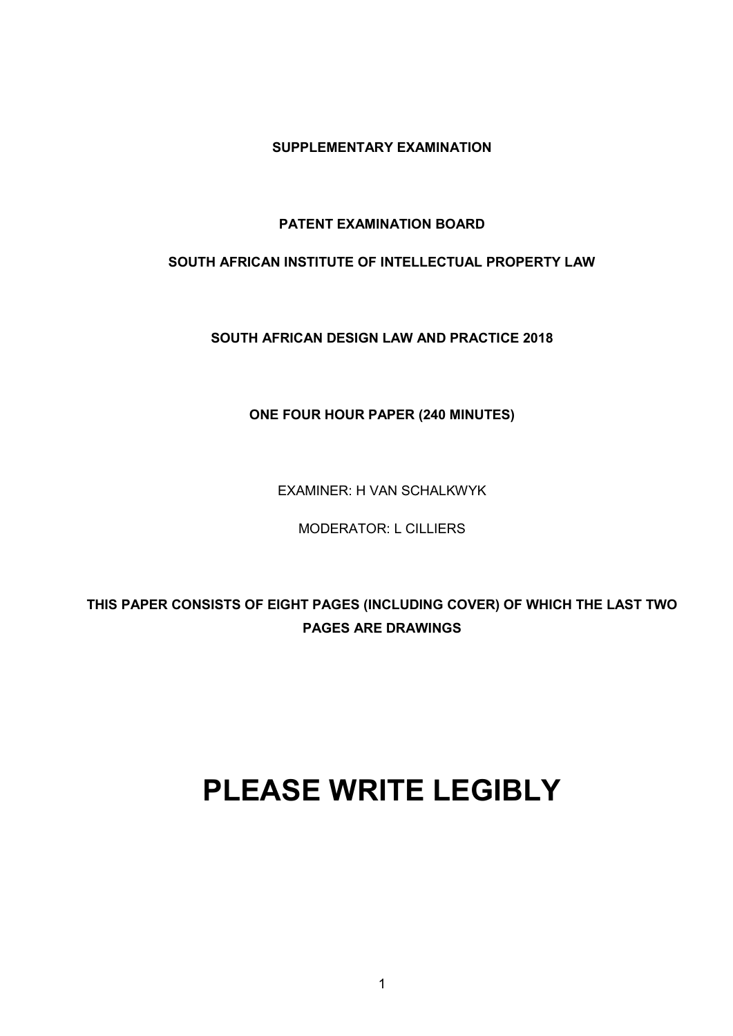**SUPPLEMENTARY EXAMINATION**

# **PATENT EXAMINATION BOARD**

# **SOUTH AFRICAN INSTITUTE OF INTELLECTUAL PROPERTY LAW**

**SOUTH AFRICAN DESIGN LAW AND PRACTICE 2018**

# **ONE FOUR HOUR PAPER (240 MINUTES)**

EXAMINER: H VAN SCHALKWYK

MODERATOR: L CILLIERS

**THIS PAPER CONSISTS OF EIGHT PAGES (INCLUDING COVER) OF WHICH THE LAST TWO PAGES ARE DRAWINGS**

# **PLEASE WRITE LEGIBLY**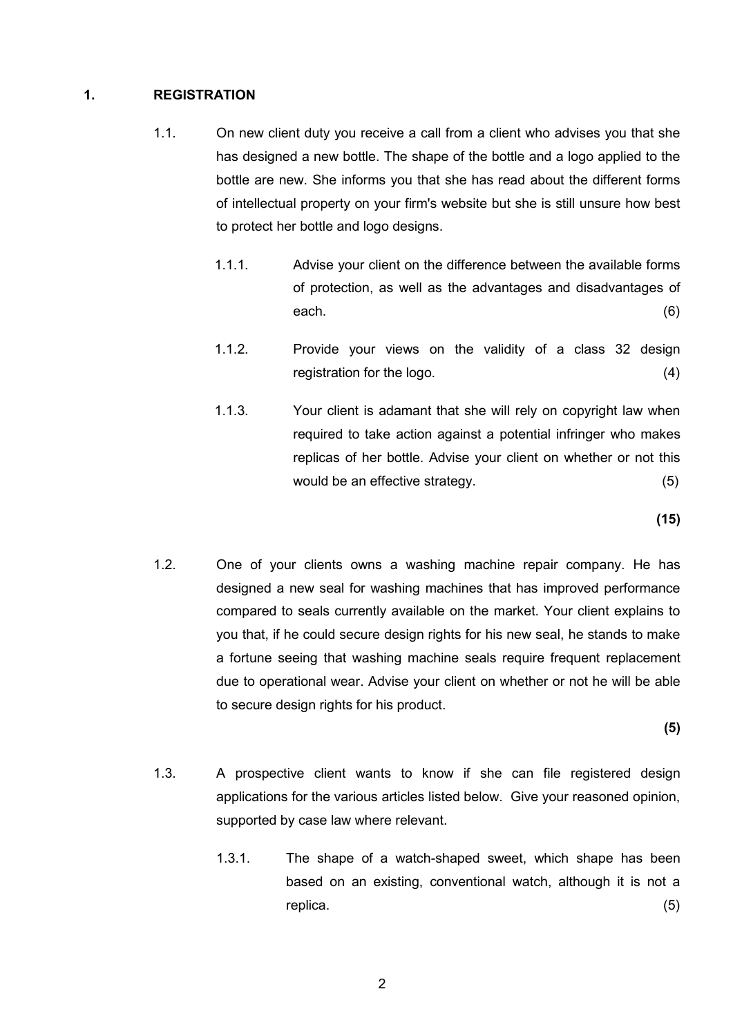#### **1. REGISTRATION**

- 1.1. On new client duty you receive a call from a client who advises you that she has designed a new bottle. The shape of the bottle and a logo applied to the bottle are new. She informs you that she has read about the different forms of intellectual property on your firm's website but she is still unsure how best to protect her bottle and logo designs.
	- 1.1.1. Advise your client on the difference between the available forms of protection, as well as the advantages and disadvantages of each. (6)
	- 1.1.2. Provide your views on the validity of a class 32 design registration for the logo. (4)
	- 1.1.3. Your client is adamant that she will rely on copyright law when required to take action against a potential infringer who makes replicas of her bottle. Advise your client on whether or not this would be an effective strategy. (5)

**(15)**

1.2. One of your clients owns a washing machine repair company. He has designed a new seal for washing machines that has improved performance compared to seals currently available on the market. Your client explains to you that, if he could secure design rights for his new seal, he stands to make a fortune seeing that washing machine seals require frequent replacement due to operational wear. Advise your client on whether or not he will be able to secure design rights for his product.

**(5)**

- 1.3. A prospective client wants to know if she can file registered design applications for the various articles listed below. Give your reasoned opinion, supported by case law where relevant.
	- 1.3.1. The shape of a watch-shaped sweet, which shape has been based on an existing, conventional watch, although it is not a replica. (5)

2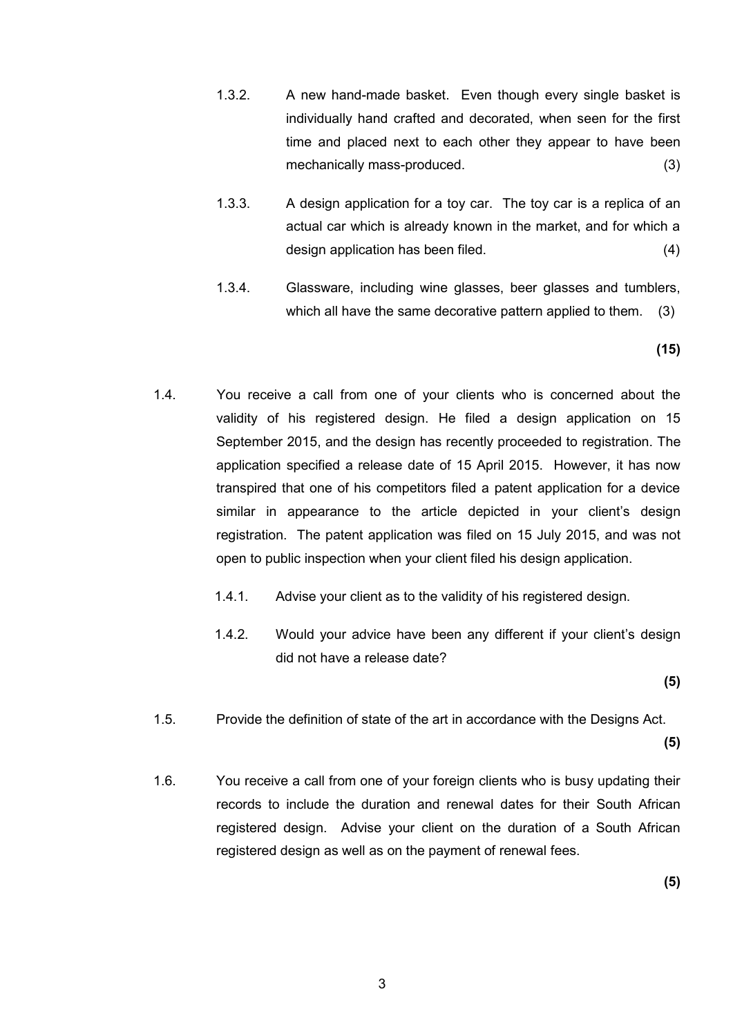- 1.3.2. A new hand-made basket. Even though every single basket is individually hand crafted and decorated, when seen for the first time and placed next to each other they appear to have been mechanically mass-produced. (3)
- 1.3.3. A design application for a toy car. The toy car is a replica of an actual car which is already known in the market, and for which a design application has been filed. (4)
- 1.3.4. Glassware, including wine glasses, beer glasses and tumblers, which all have the same decorative pattern applied to them. (3)

**(15)**

- 1.4. You receive a call from one of your clients who is concerned about the validity of his registered design. He filed a design application on 15 September 2015, and the design has recently proceeded to registration. The application specified a release date of 15 April 2015. However, it has now transpired that one of his competitors filed a patent application for a device similar in appearance to the article depicted in your client's design registration. The patent application was filed on 15 July 2015, and was not open to public inspection when your client filed his design application.
	- 1.4.1. Advise your client as to the validity of his registered design.
	- 1.4.2. Would your advice have been any different if your client's design did not have a release date?

**(5)**

1.5. Provide the definition of state of the art in accordance with the Designs Act.

**(5)**

1.6. You receive a call from one of your foreign clients who is busy updating their records to include the duration and renewal dates for their South African registered design. Advise your client on the duration of a South African registered design as well as on the payment of renewal fees.

**(5)**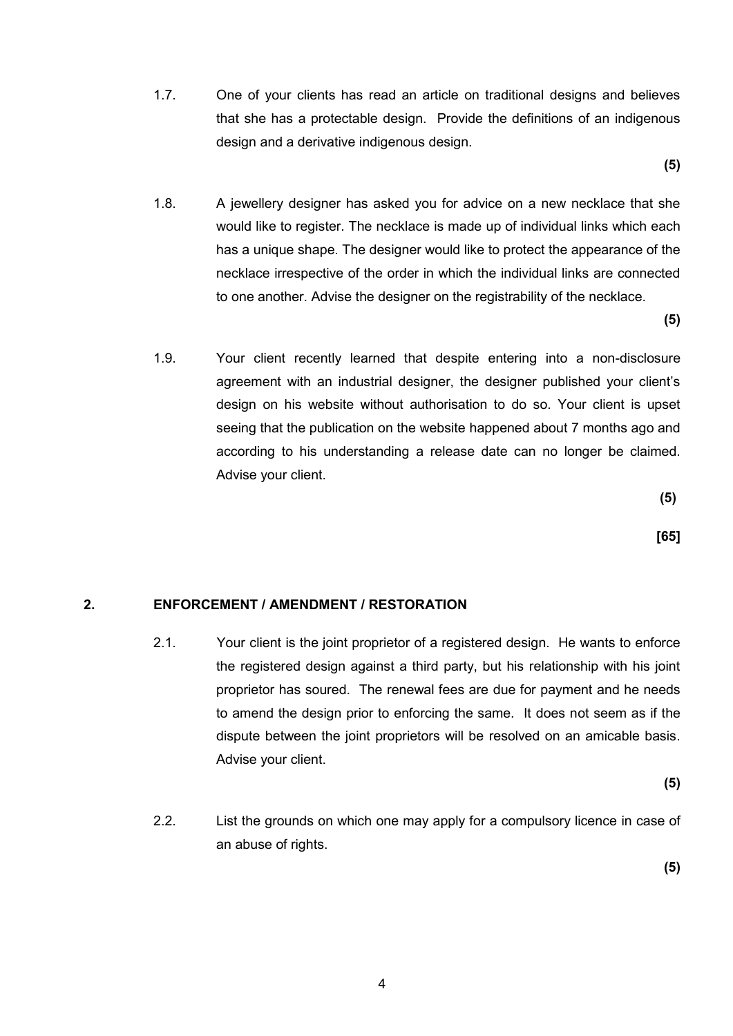1.7. One of your clients has read an article on traditional designs and believes that she has a protectable design. Provide the definitions of an indigenous design and a derivative indigenous design.

**(5)**

1.8. A jewellery designer has asked you for advice on a new necklace that she would like to register. The necklace is made up of individual links which each has a unique shape. The designer would like to protect the appearance of the necklace irrespective of the order in which the individual links are connected to one another. Advise the designer on the registrability of the necklace.

**(5)**

1.9. Your client recently learned that despite entering into a non-disclosure agreement with an industrial designer, the designer published your client's design on his website without authorisation to do so. Your client is upset seeing that the publication on the website happened about 7 months ago and according to his understanding a release date can no longer be claimed. Advise your client.

**(5)**

 **[65]**

### **2. ENFORCEMENT / AMENDMENT / RESTORATION**

2.1. Your client is the joint proprietor of a registered design. He wants to enforce the registered design against a third party, but his relationship with his joint proprietor has soured. The renewal fees are due for payment and he needs to amend the design prior to enforcing the same. It does not seem as if the dispute between the joint proprietors will be resolved on an amicable basis. Advise your client.

**(5)**

2.2. List the grounds on which one may apply for a compulsory licence in case of an abuse of rights.

**(5)**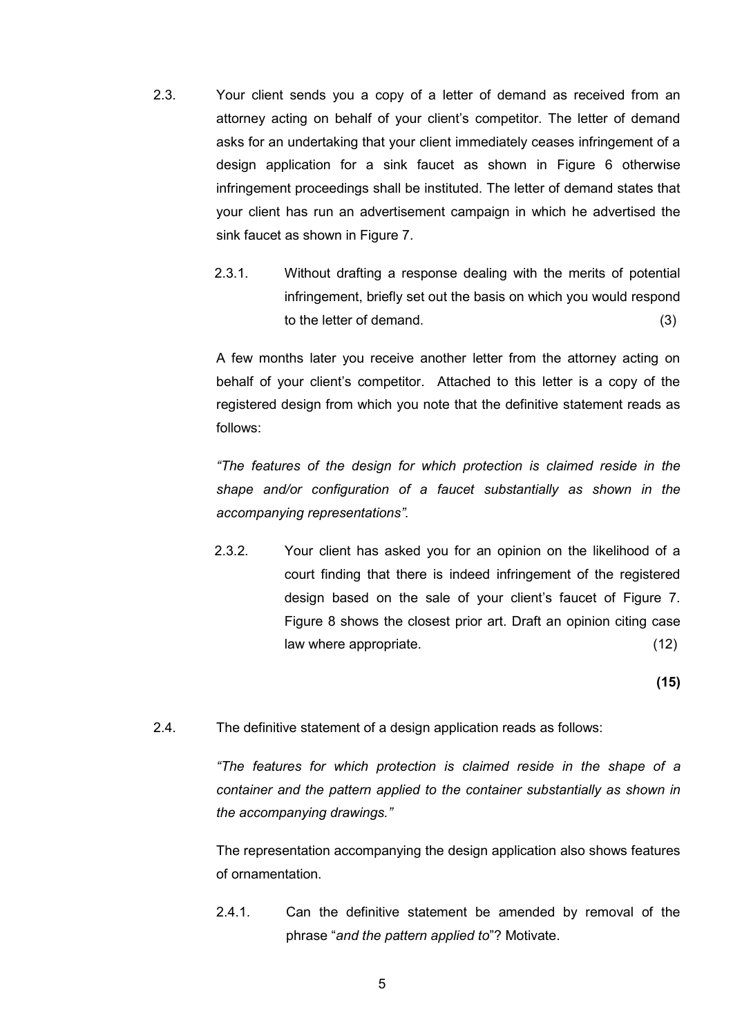- 2.3. Your client sends you a copy of a letter of demand as received from an attorney acting on behalf of your client's competitor. The letter of demand asks for an undertaking that your client immediately ceases infringement of a design application for a sink faucet as shown in Figure 6 otherwise infringement proceedings shall be instituted. The letter of demand states that your client has run an advertisement campaign in which he advertised the sink faucet as shown in Figure 7.
	- 2.3.1. Without drafting a response dealing with the merits of potential infringement, briefly set out the basis on which you would respond to the letter of demand. (3)

A few months later you receive another letter from the attorney acting on behalf of your client's competitor. Attached to this letter is a copy of the registered design from which you note that the definitive statement reads as follows:

*"The features of the design for which protection is claimed reside in the shape and/or configuration of a faucet substantially as shown in the accompanying representations".*

2.3.2. Your client has asked you for an opinion on the likelihood of a court finding that there is indeed infringement of the registered design based on the sale of your client's faucet of Figure 7. Figure 8 shows the closest prior art. Draft an opinion citing case law where appropriate. (12)

**(15)**

2.4. The definitive statement of a design application reads as follows:

*"The features for which protection is claimed reside in the shape of a container and the pattern applied to the container substantially as shown in the accompanying drawings."*

The representation accompanying the design application also shows features of ornamentation.

2.4.1. Can the definitive statement be amended by removal of the phrase "*and the pattern applied to*"? Motivate.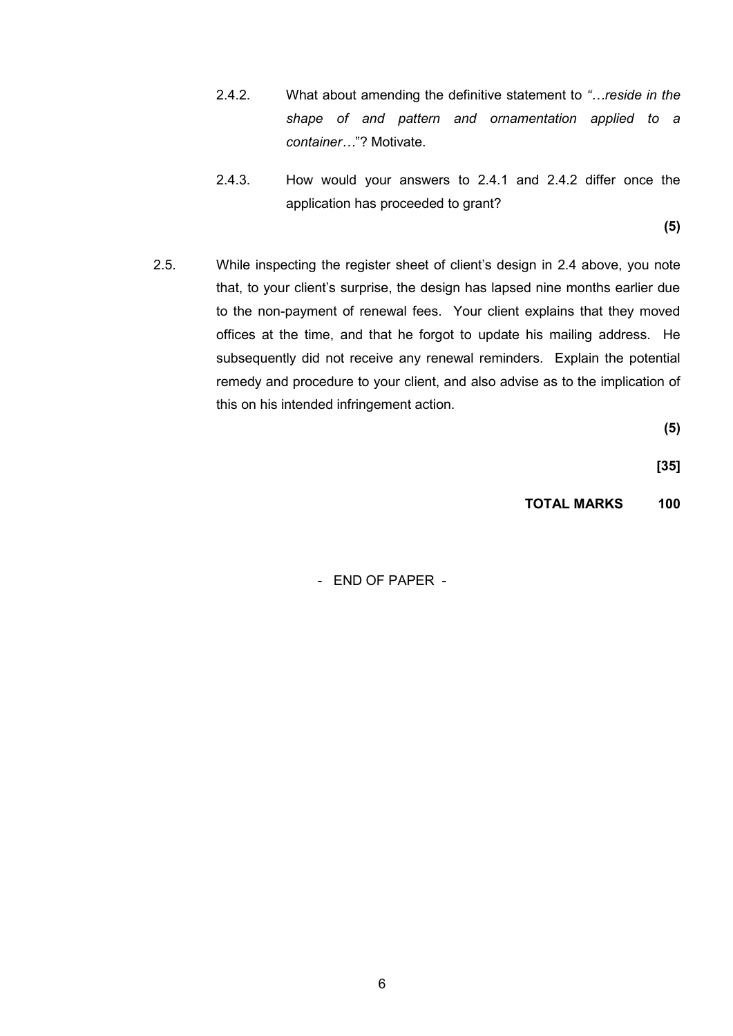- 2.4.2. What about amending the definitive statement to *"…reside in the shape of and pattern and ornamentation applied to a container…*"? Motivate.
- 2.4.3. How would your answers to 2.4.1 and 2.4.2 differ once the application has proceeded to grant?

**(5)**

2.5. While inspecting the register sheet of client's design in 2.4 above, you note that, to your client's surprise, the design has lapsed nine months earlier due to the non-payment of renewal fees. Your client explains that they moved offices at the time, and that he forgot to update his mailing address. He subsequently did not receive any renewal reminders. Explain the potential remedy and procedure to your client, and also advise as to the implication of this on his intended infringement action.

**(5)**

**[35]**

**TOTAL MARKS 100**

- END OF PAPER -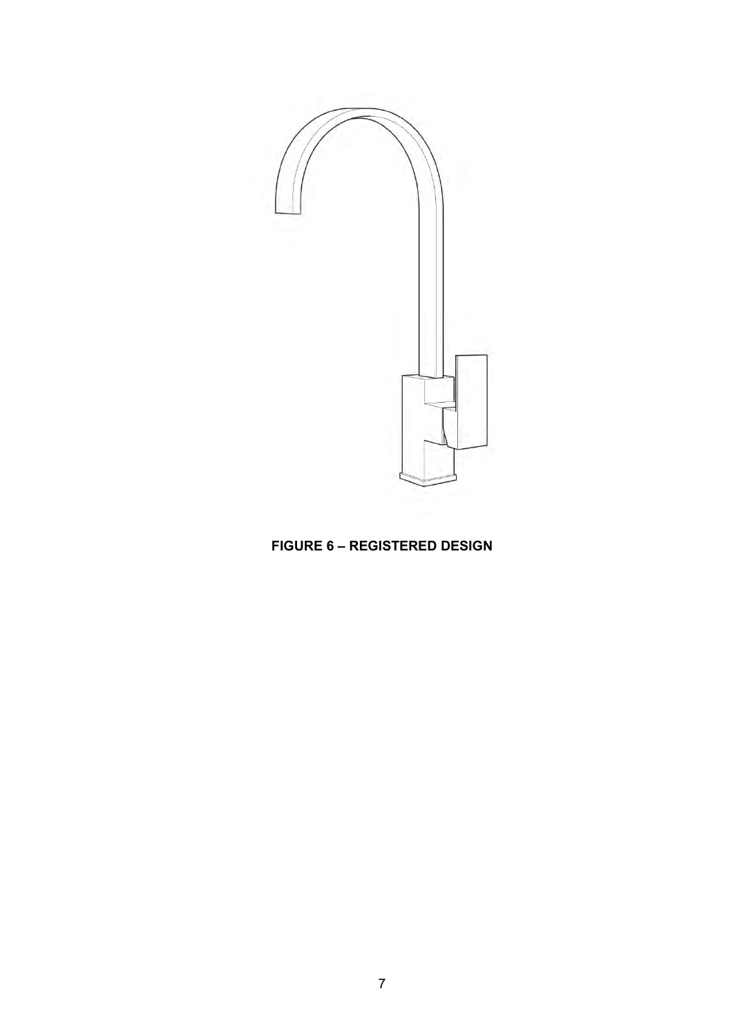

# **FIGURE 6 – REGISTERED DESIGN**